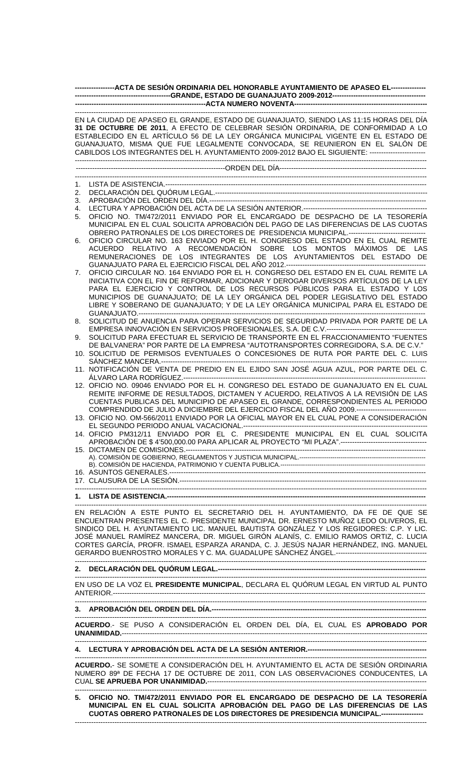| -----------------ACTA DE SESIÓN ORDINARIA DEL HONORABLE AYUNTAMIENTO DE APASEO EL---------------                                                                        |                                                                                                                                                                                                                                                                                                                                                                                                                                                         |
|-------------------------------------------------------------------------------------------------------------------------------------------------------------------------|---------------------------------------------------------------------------------------------------------------------------------------------------------------------------------------------------------------------------------------------------------------------------------------------------------------------------------------------------------------------------------------------------------------------------------------------------------|
|                                                                                                                                                                         | EN LA CIUDAD DE APASEO EL GRANDE, ESTADO DE GUANAJUATO, SIENDO LAS 11:15 HORAS DEL DÍA<br>31 DE OCTUBRE DE 2011, A EFECTO DE CELEBRAR SESIÓN ORDINARIA, DE CONFORMIDAD A LO<br>ESTABLECIDO EN EL ARTÍCULO 56 DE LA LEY ORGÁNICA MUNICIPAL VIGENTE EN EL ESTADO DE<br>GUANAJUATO, MISMA QUE FUE LEGALMENTE CONVOCADA, SE REUNIERON EN EL SALÓN DE<br>CABILDOS LOS INTEGRANTES DEL H. AYUNTAMIENTO 2009-2012 BAJO EL SIGUIENTE: ------------------------- |
|                                                                                                                                                                         |                                                                                                                                                                                                                                                                                                                                                                                                                                                         |
| 1.                                                                                                                                                                      |                                                                                                                                                                                                                                                                                                                                                                                                                                                         |
| 2.                                                                                                                                                                      |                                                                                                                                                                                                                                                                                                                                                                                                                                                         |
| 3.                                                                                                                                                                      |                                                                                                                                                                                                                                                                                                                                                                                                                                                         |
| 4.<br>5.                                                                                                                                                                | OFICIO NO. TM/472/2011 ENVIADO POR EL ENCARGADO DE DESPACHO DE LA TESORERÍA<br>MUNICIPAL EN EL CUAL SOLICITA APROBACIÓN DEL PAGO DE LAS DIFERENCIAS DE LAS CUOTAS                                                                                                                                                                                                                                                                                       |
|                                                                                                                                                                         | OBRERO PATRONALES DE LOS DIRECTORES DE PRESIDENCIA MUNICIPAL.---------------------------------                                                                                                                                                                                                                                                                                                                                                          |
| 6.                                                                                                                                                                      | OFICIO CIRCULAR NO. 163 ENVIADO POR EL H. CONGRESO DEL ESTADO EN EL CUAL REMITE<br>ACUERDO RELATIVO A RECOMENDACIÓN SOBRE LOS MONTOS MÁXIMOS DE LAS<br>REMUNERACIONES DE LOS INTEGRANTES DE LOS AYUNTAMIENTOS DEL ESTADO DE                                                                                                                                                                                                                             |
| 7.                                                                                                                                                                      | OFICIO CIRCULAR NO. 164 ENVIADO POR EL H. CONGRESO DEL ESTADO EN EL CUAL REMITE LA                                                                                                                                                                                                                                                                                                                                                                      |
|                                                                                                                                                                         | INICIATIVA CON EL FIN DE REFORMAR, ADICIONAR Y DEROGAR DIVERSOS ARTÍCULOS DE LA LEY<br>PARA EL EJERCICIO Y CONTROL DE LOS RECURSOS PÚBLICOS PARA EL ESTADO Y LOS<br>MUNICIPIOS DE GUANAJUATO; DE LA LEY ORGÁNICA DEL PODER LEGISLATIVO DEL ESTADO                                                                                                                                                                                                       |
|                                                                                                                                                                         | LIBRE Y SOBERANO DE GUANAJUATO; Y DE LA LEY ORGÁNICA MUNICIPAL PARA EL ESTADO DE                                                                                                                                                                                                                                                                                                                                                                        |
| 8.                                                                                                                                                                      | SOLICITUD DE ANUENCIA PARA OPERAR SERVICIOS DE SEGURIDAD PRIVADA POR PARTE DE LA                                                                                                                                                                                                                                                                                                                                                                        |
| 9.                                                                                                                                                                      | SOLICITUD PARA EFECTUAR EL SERVICIO DE TRANSPORTE EN EL FRACCIONAMIENTO "FUENTES                                                                                                                                                                                                                                                                                                                                                                        |
|                                                                                                                                                                         | DE BALVANERA" POR PARTE DE LA EMPRESA "AUTOTRANSPORTES CORREGIDORA, S.A. DE C.V."<br>10. SOLICITUD DE PERMISOS EVENTUALES O CONCESIONES DE RUTA POR PARTE DEL C. LUIS                                                                                                                                                                                                                                                                                   |
|                                                                                                                                                                         | 11. NOTIFICACIÓN DE VENTA DE PREDIO EN EL EJIDO SAN JOSÉ AGUA AZUL, POR PARTE DEL C.                                                                                                                                                                                                                                                                                                                                                                    |
|                                                                                                                                                                         | 12. OFICIO NO. 09046 ENVIADO POR EL H. CONGRESO DEL ESTADO DE GUANAJUATO EN EL CUAL<br>REMITE INFORME DE RESULTADOS, DICTAMEN Y ACUERDO, RELATIVOS A LA REVISIÓN DE LAS<br>CUENTAS PUBLICAS DEL MUNICIPIO DE APASEO EL GRANDE, CORRESPONDIENTES AL PERIODO                                                                                                                                                                                              |
|                                                                                                                                                                         | COMPRENDIDO DE JULIO A DICIEMBRE DEL EJERCICIO FISCAL DEL AÑO 2009.-------------------------------<br>13. OFICIO NO. OM-566/2011 ENVIADO POR LA OFICIAL MAYOR EN EL CUAL PONE A CONSIDERACIÓN                                                                                                                                                                                                                                                           |
|                                                                                                                                                                         | 14. OFICIO PM312/11 ENVIADO POR EL C. PRESIDENTE MUNICIPAL EN EL CUAL SOLICITA                                                                                                                                                                                                                                                                                                                                                                          |
|                                                                                                                                                                         |                                                                                                                                                                                                                                                                                                                                                                                                                                                         |
|                                                                                                                                                                         |                                                                                                                                                                                                                                                                                                                                                                                                                                                         |
|                                                                                                                                                                         |                                                                                                                                                                                                                                                                                                                                                                                                                                                         |
|                                                                                                                                                                         |                                                                                                                                                                                                                                                                                                                                                                                                                                                         |
|                                                                                                                                                                         | EN RELACIÓN A ESTE PUNTO EL SECRETARIO DEL H. AYUNTAMIENTO, DA FE DE QUE SE                                                                                                                                                                                                                                                                                                                                                                             |
|                                                                                                                                                                         | ENCUENTRAN PRESENTES EL C. PRESIDENTE MUNICIPAL DR. ERNESTO MUÑOZ LEDO OLIVEROS, EL<br>SINDICO DEL H. AYUNTAMIENTO LIC. MANUEL BAUTISTA GONZÁLEZ Y LOS REGIDORES: C.P. Y LIC.<br>JOSÉ MANUEL RAMÍREZ MANCERA, DR. MIGUEL GIRÓN ALANÍS, C. EMILIO RAMOS ORTIZ, C. LUCIA<br>CORTES GARCÍA, PROFR. ISMAEL ESPARZA ARANDA, C. J. JESÚS NAJAR HERNÁNDEZ, ING. MANUEL                                                                                         |
|                                                                                                                                                                         |                                                                                                                                                                                                                                                                                                                                                                                                                                                         |
|                                                                                                                                                                         | EN USO DE LA VOZ EL PRESIDENTE MUNICIPAL, DECLARA EL QUÓRUM LEGAL EN VIRTUD AL PUNTO                                                                                                                                                                                                                                                                                                                                                                    |
|                                                                                                                                                                         |                                                                                                                                                                                                                                                                                                                                                                                                                                                         |
| ACUERDO.- SE PUSO A CONSIDERACIÓN EL ORDEN DEL DÍA, EL CUAL ES APROBADO POR                                                                                             |                                                                                                                                                                                                                                                                                                                                                                                                                                                         |
|                                                                                                                                                                         |                                                                                                                                                                                                                                                                                                                                                                                                                                                         |
|                                                                                                                                                                         |                                                                                                                                                                                                                                                                                                                                                                                                                                                         |
| ACUERDO.- SE SOMETE A CONSIDERACIÓN DEL H. AYUNTAMIENTO EL ACTA DE SESIÓN ORDINARIA<br>NUMERO 89ª DE FECHA 17 DE OCTUBRE DE 2011, CON LAS OBSERVACIONES CONDUCENTES, LA |                                                                                                                                                                                                                                                                                                                                                                                                                                                         |

------------------------------------------------------------------------------------------------------------------------------------------------------- **5. OFICIO NO. TM/472/2011 ENVIADO POR EL ENCARGADO DE DESPACHO DE LA TESORERÍA MUNICIPAL EN EL CUAL SOLICITA APROBACIÓN DEL PAGO DE LAS DIFERENCIAS DE LAS CUOTAS OBRERO PATRONALES DE LOS DIRECTORES DE PRESIDENCIA MUNICIPAL.------------------**  -------------------------------------------------------------------------------------------------------------------------------------------------------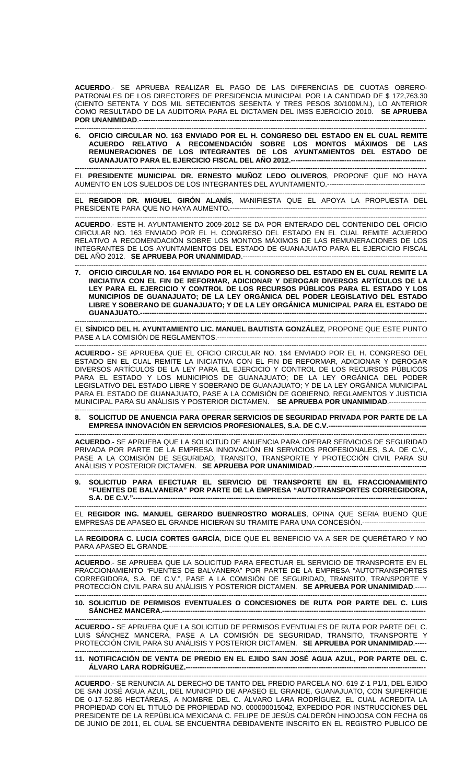**ACUERDO**.- SE APRUEBA REALIZAR EL PAGO DE LAS DIFERENCIAS DE CUOTAS OBRERO-PATRONALES DE LOS DIRECTORES DE PRESIDENCIA MUNICIPAL POR LA CANTIDAD DE \$ 172,763.30 (CIENTO SETENTA Y DOS MIL SETECIENTOS SESENTA Y TRES PESOS 30/100M.N.), LO ANTERIOR COMO RESULTADO DE LA AUDITORIA PARA EL DICTAMEN DEL IMSS EJERCICIO 2010. **SE APRUEBA POR UNANIMIDAD**.--------------------------------------------------------------------------------------------------------------------------- -------------------------------------------------------------------------------------------------------------------------------------------------------

**6. OFICIO CIRCULAR NO. 163 ENVIADO POR EL H. CONGRESO DEL ESTADO EN EL CUAL REMITE ACUERDO RELATIVO A RECOMENDACIÓN SOBRE LOS MONTOS MÁXIMOS DE LAS REMUNERACIONES DE LOS INTEGRANTES DE LOS AYUNTAMIENTOS DEL ESTADO DE GUANAJUATO PARA EL EJERCICIO FISCAL DEL AÑO 2012.----**

------------------------------------------------------------------------------------------------------------------------------------------------------- EL **PRESIDENTE MUNICIPAL DR. ERNESTO MUÑOZ LEDO OLIVEROS**, PROPONE QUE NO HAYA AUMENTO EN LOS SUELDOS DE LOS INTEGRANTES DEL AYUNTAMIENTO.------------------------------------------

------------------------------------------------------------------------------------------------------------------------------------------------------- EL **REGIDOR DR. MIGUEL GIRÓN ALANÍS**, MANIFIESTA QUE EL APOYA LA PROPUESTA DEL PRESIDENTE PARA QUE NO HAYA AUMENTO**.**------------------------------------------------------------------------------------

------------------------------------------------------------------------------------------------------------------------------------------------------- **ACUERDO**.- ESTE H. AYUNTAMIENTO 2009-2012 SE DA POR ENTERADO DEL CONTENIDO DEL OFICIO CIRCULAR NO. 163 ENVIADO POR EL H. CONGRESO DEL ESTADO EN EL CUAL REMITE ACUERDO RELATIVO A RECOMENDACIÓN SOBRE LOS MONTOS MÁXIMOS DE LAS REMUNERACIONES DE LOS INTEGRANTES DE LOS AYUNTAMIENTOS DEL ESTADO DE GUANAJUATO PARA EL EJERCICIO FISCAL DEL AÑO 2012. **SE APRUEBA POR UNANIMIDAD**.-------------------------------------------------------------------------------

------------------------------------------------------------------------------------------------------------------------------------------------------- **7. OFICIO CIRCULAR NO. 164 ENVIADO POR EL H. CONGRESO DEL ESTADO EN EL CUAL REMITE LA INICIATIVA CON EL FIN DE REFORMAR, ADICIONAR Y DEROGAR DIVERSOS ARTÍCULOS DE LA LEY PARA EL EJERCICIO Y CONTROL DE LOS RECURSOS PÚBLICOS PARA EL ESTADO Y LOS MUNICIPIOS DE GUANAJUATO; DE LA LEY ORGÁNICA DEL PODER LEGISLATIVO DEL ESTADO LIBRE Y SOBERANO DE GUANAJUATO; Y DE LA LEY ORGÁNICA MUNICIPAL PARA EL ESTADO DE GUANAJUATO.----**

------------------------------------------------------------------------------------------------------------------------------------------------------- EL **SÍNDICO DEL H. AYUNTAMIENTO LIC. MANUEL BAUTISTA GONZÁLEZ**, PROPONE QUE ESTE PUNTO PASE A LA COMISIÓN DE REGLAMENTOS.------------------------------------------------------------------------------------------

------------------------------------------------------------------------------------------------------------------------------------------------------- **ACUERDO**.- SE APRUEBA QUE EL OFICIO CIRCULAR NO. 164 ENVIADO POR EL H. CONGRESO DEL ESTADO EN EL CUAL REMITE LA INICIATIVA CON EL FIN DE REFORMAR, ADICIONAR Y DEROGAR DIVERSOS ARTÍCULOS DE LA LEY PARA EL EJERCICIO Y CONTROL DE LOS RECURSOS PÚBLICOS PARA EL ESTADO Y LOS MUNICIPIOS DE GUANAJUATO; DE LA LEY ORGÁNICA DEL PODER LEGISLATIVO DEL ESTADO LIBRE Y SOBERANO DE GUANAJUATO; Y DE LA LEY ORGÁNICA MUNICIPAL PARA EL ESTADO DE GUANAJUATO, PASE A LA COMISIÓN DE GOBIERNO, REGLAMENTOS Y JUSTICIA MUNICIPAL PARA SU ANÁLISIS Y POSTERIOR DICTAMEN. **SE APRUEBA POR UNANIMIDAD**.----------------

------------------------------------------------------------------------------------------------------------------------------------------------------- **8. SOLICITUD DE ANUENCIA PARA OPERAR SERVICIOS DE SEGURIDAD PRIVADA POR PARTE DE LA EMPRESA INNOVACIÓN EN SERVICIOS PROFESIONALES, S.A. DE C.V.---**

------------------------------------------------------------------------------------------------------------------------------------------------------- **ACUERDO**.- SE APRUEBA QUE LA SOLICITUD DE ANUENCIA PARA OPERAR SERVICIOS DE SEGURIDAD PRIVADA POR PARTE DE LA EMPRESA INNOVACIÓN EN SERVICIOS PROFESIONALES, S.A. DE C.V., PASE A LA COMISIÓN DE SEGURIDAD, TRANSITO, TRANSPORTE Y PROTECCIÓN CIVIL PARA SU ANÁLISIS Y POSTERIOR DICTAMEN. **SE APRUEBA POR UNANIMIDAD**.------------------------------------------------

------------------------------------------------------------------------------------------------------------------------------------------------------- **9. SOLICITUD PARA EFECTUAR EL SERVICIO DE TRANSPORTE EN EL FRACCIONAMIENTO "FUENTES DE BALVANERA" POR PARTE DE LA EMPRESA "AUTOTRANSPORTES CORREGIDORA, S.A. DE C.V."-----------**

------------------------------------------------------------------------------------------------------------------------------------------------------- EL **REGIDOR ING. MANUEL GERARDO BUENROSTRO MORALES**, OPINA QUE SERIA BUENO QUE EMPRESAS DE APASEO EL GRANDE HICIERAN SU TRAMITE PARA UNA CONCESIÓN.---------------------------

------------------------------------------------------------------------------------------------------------------------------------------------------- LA **REGIDORA C. LUCIA CORTES GARCÍA**, DICE QUE EL BENEFICIO VA A SER DE QUERÉTARO Y NO PARA APASEO EL GRANDE.--------------------------------------------------------------------------------------------------------------

------------------------------------------------------------------------------------------------------------------------------------------------------- **ACUERDO**.- SE APRUEBA QUE LA SOLICITUD PARA EFECTUAR EL SERVICIO DE TRANSPORTE EN EL FRACCIONAMIENTO "FUENTES DE BALVANERA" POR PARTE DE LA EMPRESA "AUTOTRANSPORTES CORREGIDORA, S.A. DE C.V.", PASE A LA COMISIÓN DE SEGURIDAD, TRANSITO, TRANSPORTE Y PROTECCIÓN CIVIL PARA SU ANÁLISIS Y POSTERIOR DICTAMEN. **SE APRUEBA POR UNANIMIDAD**.-----

## ------------------------------------------------------------------------------------------------------------------------------------------------------- **10. SOLICITUD DE PERMISOS EVENTUALES O CONCESIONES DE RUTA POR PARTE DEL C. LUIS SÁNCHEZ MANCERA.-----**

------------------------------------------------------------------------------------------------------------------------------------------------------- **ACUERDO**.- SE APRUEBA QUE LA SOLICITUD DE PERMISOS EVENTUALES DE RUTA POR PARTE DEL C. LUIS SÁNCHEZ MANCERA, PASE A LA COMISIÓN DE SEGURIDAD, TRANSITO, TRANSPORTE Y PROTECCIÓN CIVIL PARA SU ANÁLISIS Y POSTERIOR DICTAMEN. **SE APRUEBA POR UNANIMIDAD**.-----

## ------------------------------------------------------------------------------------------------------------------------------------------------------- **11. NOTIFICACIÓN DE VENTA DE PREDIO EN EL EJIDO SAN JOSÉ AGUA AZUL, POR PARTE DEL C. ÁLVARO LARA RODRÍGUEZ.---**

------------------------------------------------------------------------------------------------------------------------------------------------------- **ACUERDO**.- SE RENUNCIA AL DERECHO DE TANTO DEL PREDIO PARCELA NO. 619 Z-1 P1/1, DEL EJIDO DE SAN JOSÉ AGUA AZUL, DEL MUNICIPIO DE APASEO EL GRANDE, GUANAJUATO, CON SUPERFICIE DE 0-17-52.86 HECTÁREAS, A NOMBRE DEL C. ÁLVARO LARA RODRÍGUEZ, EL CUAL ACREDITA LA PROPIEDAD CON EL TITULO DE PROPIEDAD NO. 000000015042, EXPEDIDO POR INSTRUCCIONES DEL PRESIDENTE DE LA REPÚBLICA MEXICANA C. FELIPE DE JESÚS CALDERÓN HINOJOSA CON FECHA 06 DE JUNIO DE 2011, EL CUAL SE ENCUENTRA DEBIDAMENTE INSCRITO EN EL REGISTRO PUBLICO DE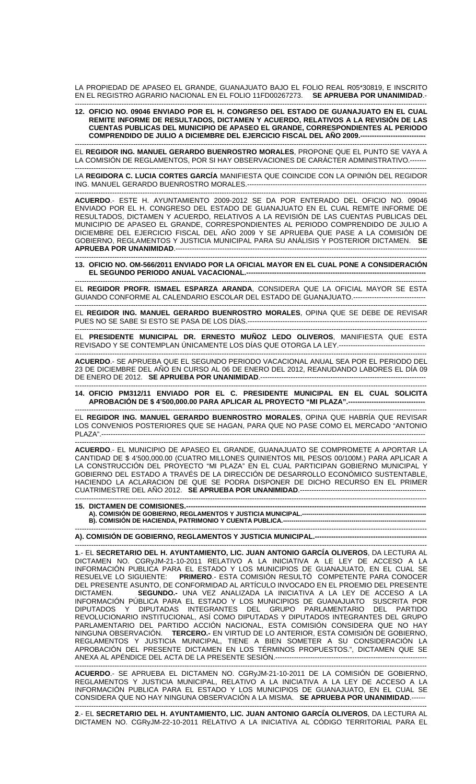LA PROPIEDAD DE APASEO EL GRANDE, GUANAJUATO BAJO EL FOLIO REAL R05\*30819, E INSCRITO EN EL REGISTRO AGRARIO NACIONAL EN EL FOLIO 11FD00267273. **SE APRUEBA POR UNANIMIDAD**.-

## ------------------------------------------------------------------------------------------------------------------------------------------------------- **12. OFICIO NO. 09046 ENVIADO POR EL H. CONGRESO DEL ESTADO DE GUANAJUATO EN EL CUAL REMITE INFORME DE RESULTADOS, DICTAMEN Y ACUERDO, RELATIVOS A LA REVISIÓN DE LAS CUENTAS PUBLICAS DEL MUNICIPIO DE APASEO EL GRANDE, CORRESPONDIENTES AL PERIODO COMPRENDIDO DE JULIO A DICIEMBRE DEL EJERCICIO FISCAL DEL AÑO 2009.----------------------------**

------------------------------------------------------------------------------------------------------------------------------------------------------- EL **REGIDOR ING. MANUEL GERARDO BUENROSTRO MORALES**, PROPONE QUE EL PUNTO SE VAYA A LA COMISIÓN DE REGLAMENTOS, POR SI HAY OBSERVACIONES DE CARÁCTER ADMINISTRATIVO.-------

------------------------------------------------------------------------------------------------------------------------------------------------------- LA **REGIDORA C. LUCIA CORTES GARCÍA** MANIFIESTA QUE COINCIDE CON LA OPINIÓN DEL REGIDOR ING. MANUEL GERARDO BUENROSTRO MORALES.-----------------------------------------------------------------------------

------------------------------------------------------------------------------------------------------------------------------------------------------- **ACUERDO**.- ESTE H. AYUNTAMIENTO 2009-2012 SE DA POR ENTERADO DEL OFICIO NO. 09046 ENVIADO POR EL H. CONGRESO DEL ESTADO DE GUANAJUATO EN EL CUAL REMITE INFORME DE RESULTADOS, DICTAMEN Y ACUERDO, RELATIVOS A LA REVISIÓN DE LAS CUENTAS PUBLICAS DEL MUNICIPIO DE APASEO EL GRANDE, CORRESPONDIENTES AL PERIODO COMPRENDIDO DE JULIO A DICIEMBRE DEL EJERCICIO FISCAL DEL AÑO 2009 Y SE APRUEBA QUE PASE A LA COMISIÓN DE GOBIERNO, REGLAMENTOS Y JUSTICIA MUNICIPAL PARA SU ANÁLISIS Y POSTERIOR DICTAMEN. **SE APRUEBA POR UNANIMIDAD.---**

------------------------------------------------------------------------------------------------------------------------------------------------------- **13. OFICIO NO. OM-566/2011 ENVIADO POR LA OFICIAL MAYOR EN EL CUAL PONE A CONSIDERACIÓN EL SEGUNDO PERIODO ANUAL VACACIONAL.-----------------------------------------------------------------------------** 

EL **REGIDOR PROFR. ISMAEL ESPARZA ARANDA**, CONSIDERA QUE LA OFICIAL MAYOR SE ESTA GUIANDO CONFORME AL CALENDARIO ESCOLAR DEL ESTADO DE GUANAJUATO.-------------------------------

-------------------------------------------------------------------------------------------------------------------------------------------------------

-------------------------------------------------------------------------------------------------------------------------------------------------------

------------------------------------------------------------------------------------------------------------------------------------------------------- EL **REGIDOR ING. MANUEL GERARDO BUENROSTRO MORALES**, OPINA QUE SE DEBE DE REVISAR PUES NO SE SABE SI ESTO SE PASA DE LOS DÍAS.-----------------------------------------------------------------------------

------------------------------------------------------------------------------------------------------------------------------------------------------- EL **PRESIDENTE MUNICIPAL DR. ERNESTO MUÑOZ LEDO OLIVEROS**, MANIFIESTA QUE ESTA REVISADO Y SE CONTEMPLAN ÚNICAMENTE LOS DÍAS QUE OTORGA LA LEY.-------------------------------

------------------------------------------------------------------------------------------------------------------------------------------------------- **ACUERDO**.- SE APRUEBA QUE EL SEGUNDO PERIODO VACACIONAL ANUAL SEA POR EL PERIODO DEL 23 DE DICIEMBRE DEL AÑO EN CURSO AL 06 DE ENERO DEL 2012, REANUDANDO LABORES EL DÍA 09 DE ENERO DE 2012. **SE APRUEBA POR UNANIMIDAD**.-----------------------------------------------------------------------

**14. OFICIO PM312/11 ENVIADO POR EL C. PRESIDENTE MUNICIPAL EN EL CUAL SOLICITA APROBACIÓN DE \$ 4'500,000.00 PARA APLICAR AL PROYECTO "MI PLAZA".---------------------------------** 

------------------------------------------------------------------------------------------------------------------------------------------------------- EL **REGIDOR ING. MANUEL GERARDO BUENROSTRO MORALES**, OPINA QUE HABRÍA QUE REVISAR LOS CONVENIOS POSTERIORES QUE SE HAGAN, PARA QUE NO PASE COMO EL MERCADO "ANTONIO PLAZA".-------------------------------------------------------------------------------------------------------------------------------------------

------------------------------------------------------------------------------------------------------------------------------------------------------- **ACUERDO**.- EL MUNICIPIO DE APASEO EL GRANDE, GUANAJUATO SE COMPROMETE A APORTAR LA CANTIDAD DE \$ 4'500,000.00 (CUATRO MILLONES QUINIENTOS MIL PESOS 00/100M.) PARA APLICAR A LA CONSTRUCCIÓN DEL PROYECTO "MI PLAZA" EN EL CUAL PARTICIPAN GOBIERNO MUNICIPAL Y GOBIERNO DEL ESTADO A TRAVÉS DE LA DIRECCIÓN DE DESARROLLO ECONÓMICO SUSTENTABLE, HACIENDO LA ACLARACION DE QUE SE PODRA DISPONER DE DICHO RECURSO EN EL PRIMER CUATRIMESTRE DEL AÑO 2012. **SE APRUEBA POR UNANIMIDAD**.------------------------------------------------------

------------------------------------------------------------------------------------------------------------------------------------------------------- **15. DICTAMEN DE COMISIONES.-A). COMISIÓN DE GOBIERNO, REGLAMENTOS Y JUSTICIA MUNICIPAL.------------------------------------------------------------** 

**B). COMISIÓN DE HACIENDA, PATRIMONIO Y CUENTA PUBLICA.-----**-------------------------------------------------------------------------------------------------------------------------------------------------------

**A). COMISIÓN DE GOBIERNO, REGLAMENTOS Y JUSTICIA MUNICIPAL.------------------------------------------------** 

------------------------------------------------------------------------------------------------------------------------------------------------------- **1**.- EL **SECRETARIO DEL H. AYUNTAMIENTO, LIC. JUAN ANTONIO GARCÍA OLIVEROS**, DA LECTURA AL DICTAMEN NO. CGRyJM-21-10-2011 RELATIVO A LA INICIATIVA A LE LEY DE ACCESO A LA INFORMACIÓN PUBLICA PARA EL ESTADO Y LOS MUNICIPIOS DE GUANAJUATO, EN EL CUAL SE RESUELVE LO SIGUIENTE: **PRIMERO**.- ESTA COMISIÓN RESULTÓ COMPETENTE PARA CONOCER DEL PRESENTE ASUNTO, DE CONFORMIDAD AL ARTÍCULO INVOCADO EN EL PROEMIO DEL PRESENTE DICTAMEN. **SEGUNDO.-** UNA VEZ ANALIZADA LA INICIATIVA A LA LEY DE ACCESO A LA INFORMACIÓN PÚBLICA PARA EL ESTADO Y LOS MUNICIPIOS DE GUANAJUATO SUSCRITA POR DIPUTADOS Y DIPUTADAS INTEGRANTES DEL GRUPO PARLAMENTARIO DEL PARTIDO REVOLUCIONARIO INSTITUCIONAL, ASÍ COMO DIPUTADAS Y DIPUTADOS INTEGRANTES DEL GRUPO PARLAMENTARIO DEL PARTIDO ACCIÓN NACIONAL, ESTA COMISIÓN CONSIDERA QUE NO HAY NINGUNA OBSERVACIÓN. **TERCERO.-** EN VIRTUD DE LO ANTERIOR, ESTA COMISIÓN DE GOBIERNO, REGLAMENTOS Y JUSTICIA MUNICIPAL, TIENE A BIEN SOMETER A SU CONSIDERACIÓN LA APROBACIÓN DEL PRESENTE DICTAMEN EN LOS TÉRMINOS PROPUESTOS.", DICTAMEN QUE SE ANEXA AL APÉNDICE DEL ACTA DE LA PRESENTE SESIÓN.---

------------------------------------------------------------------------------------------------------------------------------------------------------- **ACUERDO**.- SE APRUEBA EL DICTAMEN NO. CGRyJM-21-10-2011 DE LA COMISIÓN DE GOBIERNO, REGLAMENTOS Y JUSTICIA MUNICIPAL, RELATIVO A LA INICIATIVA A LA LEY DE ACCESO A LA INFORMACIÓN PUBLICA PARA EL ESTADO Y LOS MUNICIPIOS DE GUANAJUATO, EN EL CUAL SE CONSIDERA QUE NO HAY NINGUNA OBSERVACIÓN A LA MISMA. **SE APRUEBA POR UNANIMIDAD**.------

------------------------------------------------------------------------------------------------------------------------------------------------------- **2**.- EL **SECRETARIO DEL H. AYUNTAMIENTO, LIC. JUAN ANTONIO GARCÍA OLIVEROS**, DA LECTURA AL DICTAMEN NO. CGRyJM-22-10-2011 RELATIVO A LA INICIATIVA AL CÓDIGO TERRITORIAL PARA EL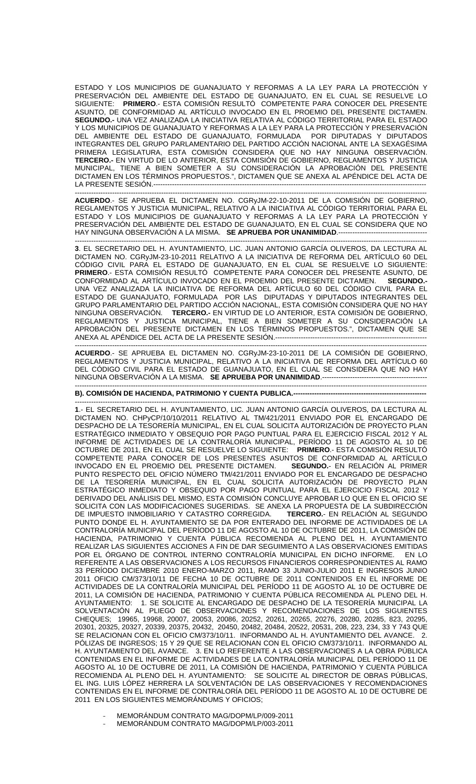ESTADO Y LOS MUNICIPIOS DE GUANAJUATO Y REFORMAS A LA LEY PARA LA PROTECCIÓN Y PRESERVACIÓN DEL AMBIENTE DEL ESTADO DE GUANAJUATO, EN EL CUAL SE RESUELVE LO SIGUIENTE: **PRIMERO**.- ESTA COMISIÓN RESULTÓ COMPETENTE PARA CONOCER DEL PRESENTE ASUNTO, DE CONFORMIDAD AL ARTÍCULO INVOCADO EN EL PROEMIO DEL PRESENTE DICTAMEN. **SEGUNDO.-** UNA VEZ ANALIZADA LA INICIATIVA RELATIVA AL CÓDIGO TERRITORIAL PARA EL ESTADO Y LOS MUNICIPIOS DE GUANAJUATO Y REFORMAS A LA LEY PARA LA PROTECCIÓN Y PRESERVACIÓN DEL AMBIENTE DEL ESTADO DE GUANAJUATO, FORMULADA POR DIPUTADAS Y DIPUTADOS INTEGRANTES DEL GRUPO PARLAMENTARIO DEL PARTIDO ACCIÓN NACIONAL ANTE LA SEXAGÉSIMA PRIMERA LEGISLATURA, ESTA COMISIÓN CONSIDERA QUE NO HAY NINGUNA OBSERVACIÓN. **TERCERO.-** EN VIRTUD DE LO ANTERIOR, ESTA COMISIÓN DE GOBIERNO, REGLAMENTOS Y JUSTICIA MUNICIPAL, TIENE A BIEN SOMETER A SU CONSIDERACIÓN LA APROBACIÓN DEL PRESENTE DICTAMEN EN LOS TÉRMINOS PROPUESTOS.", DICTAMEN QUE SE ANEXA AL APÉNDICE DEL ACTA DE LA PRESENTE SESIÓN.----

**ACUERDO**.- SE APRUEBA EL DICTAMEN NO. CGRyJM-22-10-2011 DE LA COMISIÓN DE GOBIERNO, REGLAMENTOS Y JUSTICIA MUNICIPAL, RELATIVO A LA INICIATIVA AL CÓDIGO TERRITORIAL PARA EL ESTADO Y LOS MUNICIPIOS DE GUANAJUATO Y REFORMAS A LA LEY PARA LA PROTECCIÓN Y PRESERVACIÓN DEL AMBIENTE DEL ESTADO DE GUANAJUATO, EN EL CUAL SE CONSIDERA QUE NO HAY NINGUNA OBSERVACIÓN A LA MISMA. **SE APRUEBA POR UNANIMIDAD**.--------------------------------------

-------------------------------------------------------------------------------------------------------------------------------------------------------

------------------------------------------------------------------------------------------------------------------------------------------------------- **3**. EL SECRETARIO DEL H. AYUNTAMIENTO, LIC. JUAN ANTONIO GARCÍA OLIVEROS, DA LECTURA AL DICTAMEN NO. CGRyJM-23-10-2011 RELATIVO A LA INICIATIVA DE REFORMA DEL ARTÍCULO 60 DEL CÓDIGO CIVIL PARA EL ESTADO DE GUANAJUATO, EN EL CUAL SE RESUELVE LO SIGUIENTE: **PRIMERO**.- ESTA COMISIÓN RESULTÓ COMPETENTE PARA CONOCER DEL PRESENTE ASUNTO, DE CONFORMIDAD AL ARTÍCULO INVOCADO EN EL PROEMIO DEL PRESENTE DICTAMEN. **SEGUNDO.-**  UNA VEZ ANALIZADA LA INICIATIVA DE REFORMA DEL ARTÍCULO 60 DEL CÓDIGO CIVIL PARA EL ESTADO DE GUANAJUATO, FORMULADA POR LAS DIPUTADAS Y DIPUTADOS INTEGRANTES DEL GRUPO PARLAMENTARIO DEL PARTIDO ACCIÓN NACIONAL, ESTA COMISIÓN CONSIDERA QUE NO HAY NINGUNA OBSERVACIÓN. **TERCERO.-** EN VIRTUD DE LO ANTERIOR, ESTA COMISIÓN DE GOBIERNO, REGLAMENTOS Y JUSTICIA MUNICIPAL, TIENE A BIEN SOMETER A SU CONSIDERACIÓN LA APROBACIÓN DEL PRESENTE DICTAMEN EN LOS TÉRMINOS PROPUESTOS.", DICTAMEN QUE SE ANEXA AL APÉNDICE DEL ACTA DE LA PRESENTE SESIÓN.---

------------------------------------------------------------------------------------------------------------------------------------------------------- **ACUERDO**.- SE APRUEBA EL DICTAMEN NO. CGRyJM-23-10-2011 DE LA COMISIÓN DE GOBIERNO, REGLAMENTOS Y JUSTICIA MUNICIPAL, RELATIVO A LA INICIATIVA DE REFORMA DEL ARTÍCULO 60 DEL CÓDIGO CIVIL PARA EL ESTADO DE GUANAJUATO, EN EL CUAL SE CONSIDERA QUE NO HAY NINGUNA OBSERVACIÓN A LA MISMA. **SE APRUEBA POR UNANIMIDAD**.---------------------------------------------

## ------------------------------------------------------------------------------------------------------------------------------------------------------- **B). COMISIÓN DE HACIENDA, PATRIMONIO Y CUENTA PUBLICA.----**

------------------------------------------------------------------------------------------------------------------------------------------------------- **1**.- EL SECRETARIO DEL H. AYUNTAMIENTO, LIC. JUAN ANTONIO GARCÍA OLIVEROS, DA LECTURA AL DICTAMEN NO. CHPyCP/10/10/2011 RELATIVO AL TM/421/2011 ENVIADO POR EL ENCARGADO DE DESPACHO DE LA TESORERÍA MUNICIPAL, EN EL CUAL SOLICITA AUTORIZACIÓN DE PROYECTO PLAN ESTRATÉGICO INMEDIATO Y OBSEQUIO POR PAGO PUNTUAL PARA EL EJERCICIO FISCAL 2012 Y AL INFORME DE ACTIVIDADES DE LA CONTRALORÍA MUNICIPAL, PERÍODO 11 DE AGOSTO AL 10 DE OCTUBRE DE 2011, EN EL CUAL SE RESUELVE LO SIGUIENTE: **PRIMERO**.- ESTA COMISIÓN RESULTÓ COMPETENTE PARA CONOCER DE LOS PRESENTES ASUNTOS DE CONFORMIDAD AL ARTÍCULO INVOCADO EN EL PROEMIO DEL PRESENTE DICTAMEN. **SEGUNDO.**- EN RELACIÓN AL PRIMER PUNTO RESPECTO DEL OFICIO NÚMERO TM/421/2011 ENVIADO POR EL ENCARGADO DE DESPACHO DE LA TESORERÍA MUNICIPAL, EN EL CUAL SOLICITA AUTORIZACIÓN DE PROYECTO PLAN ESTRATÉGICO INMEDIATO Y OBSEQUIO POR PAGO PUNTUAL PARA EL EJERCICIO FISCAL 2012 Y DERIVADO DEL ANÁLISIS DEL MISMO, ESTA COMISIÓN CONCLUYE APROBAR LO QUE EN EL OFICIO SE SOLICITA CON LAS MODIFICACIONES SUGERIDAS. SE ANEXA LA PROPUESTA DE LA SUBDIRECCIÓN<br>DE IMPUESTO INMOBILIARIO Y CATASTRO CORREGIDA. TERCERO.- EN RELACIÓN AL SEGUNDO DE IMPUESTO INMOBILIARIO Y CATASTRO CORREGIDA. PUNTO DONDE EL H. AYUNTAMIENTO SE DA POR ENTERADO DEL INFORME DE ACTIVIDADES DE LA CONTRALORÍA MUNICIPAL DEL PERÍODO 11 DE AGOSTO AL 10 DE OCTUBRE DE 2011, LA COMISIÓN DE HACIENDA, PATRIMONIO Y CUENTA PÚBLICA RECOMIENDA AL PLENO DEL H. AYUNTAMIENTO REALIZAR LAS SIGUIENTES ACCIONES A FIN DE DAR SEGUIMIENTO A LAS OBSERVACIONES EMITIDAS POR EL ÓRGANO DE CONTROL INTERNO CONTRALORÍA MUNICIPAL EN DICHO INFORME. EN LO REFERENTE A LAS OBSERVACIONES A LOS RECURSOS FINANCIEROS CORRESPONDIENTES AL RAMO 33 PERÍODO DICIEMBRE 2010 ENERO-MARZO 2011, RAMO 33 JUNIO-JULIO 2011 E INGRESOS JUNIO 2011 OFICIO CM/373/10/11 DE FECHA 10 DE OCTUBRE DE 2011 CONTENIDOS EN EL INFORME DE ACTIVIDADES DE LA CONTRALORÍA MUNICIPAL DEL PERÍODO 11 DE AGOSTO AL 10 DE OCTUBRE DE 2011, LA COMISIÓN DE HACIENDA, PATRIMONIO Y CUENTA PÚBLICA RECOMIENDA AL PLENO DEL H. AYUNTAMIENTO: 1. SE SOLICITE AL ENCARGADO DE DESPACHO DE LA TESORERÍA MUNICIPAL LA SOLVENTACIÓN AL PLIEGO DE OBSERVACIONES Y RECOMENDACIONES DE LOS SIGUIENTES CHEQUES; 19965, 19968, 20007, 20053, 20086, 20252, 20261, 20265, 20276, 20280, 20285, 823, 20295, 20301, 20325, 20327, 20339, 20375, 20432, 20450, 20482, 20484, 20522, 20531, 208, 223, 234, 33 Y 743 QUE SE RELACIONAN CON EL OFICIO CM/373/10/11. INFORMANDO AL H. AYUNTAMIENTO DEL AVANCE. 2. PÓLIZAS DE INGRESOS; 15 Y 29 QUE SE RELACIONAN CON EL OFICIO CM/373/10/11. INFORMANDO AL H. AYUNTAMIENTO DEL AVANCE. 3. EN LO REFERENTE A LAS OBSERVACIONES A LA OBRA PÚBLICA CONTENIDAS EN EL INFORME DE ACTIVIDADES DE LA CONTRALORÍA MUNICIPAL DEL PERÍODO 11 DE AGOSTO AL 10 DE OCTUBRE DE 2011, LA COMISIÓN DE HACIENDA, PATRIMONIO Y CUENTA PÚBLICA RECOMIENDA AL PLENO DEL H. AYUNTAMIENTO: SE SOLICITE AL DIRECTOR DE OBRAS PÚBLICAS, EL ING. LUIS LÓPEZ HERRERA LA SOLVENTACIÓN DE LAS OBSERVACIONES Y RECOMENDACIONES CONTENIDAS EN EL INFORME DE CONTRALORÍA DEL PERÍODO 11 DE AGOSTO AL 10 DE OCTUBRE DE 2011 EN LOS SIGUIENTES MEMORÁNDUMS Y OFICIOS;

- MEMORÁNDUM CONTRATO MAG/DOPM/LP/009-2011
- MEMORÁNDUM CONTRATO MAG/DOPM/LP/003-2011